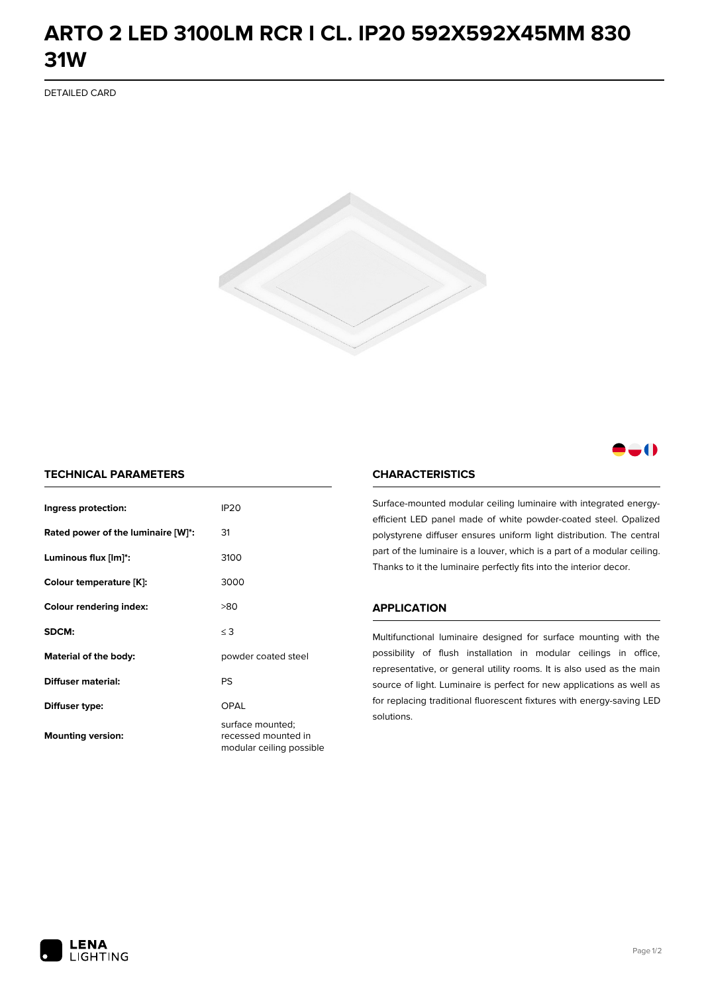## **ARTO 2 LED 3100LM RCR I CL. IP20 592X592X45MM 830 31W**

DETAILED CARD



### -0

#### **TECHNICAL PARAMETERS**

| Ingress protection:                | <b>IP20</b>                                                         |
|------------------------------------|---------------------------------------------------------------------|
| Rated power of the luminaire [W]*: | 31                                                                  |
| Luminous flux [lm]*:               | 3100                                                                |
| Colour temperature [K]:            | 3000                                                                |
| <b>Colour rendering index:</b>     | >80                                                                 |
| SDCM:                              | $\leq 3$                                                            |
| Material of the body:              | powder coated steel                                                 |
| Diffuser material:                 | PS                                                                  |
| Diffuser type:                     | OPAL                                                                |
| <b>Mounting version:</b>           | surface mounted;<br>recessed mounted in<br>modular ceiling possible |

#### **CHARACTERISTICS**

Surface-mounted modular ceiling luminaire with integrated energyefficient LED panel made of white powder-coated steel. Opalized polystyrene diffuser ensures uniform light distribution. The central part of the luminaire is a louver, which is a part of a modular ceiling. Thanks to it the luminaire perfectly fits into the interior decor.

#### **APPLICATION**

Multifunctional luminaire designed for surface mounting with the possibility of flush installation in modular ceilings in office, representative, or general utility rooms. It is also used as the main source of light. Luminaire is perfect for new applications as well as for replacing traditional fluorescent fixtures with energy-saving LED solutions.